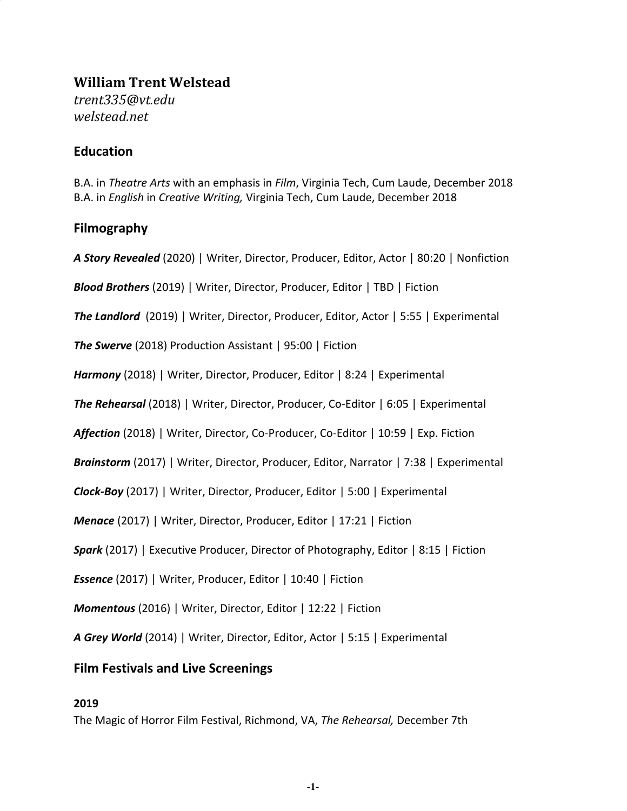# **William Trent Welstead** *trent335@vt.edu welstead.net*

# **Education**

B.A. in *Theatre Arts* with an emphasis in *Film*, Virginia Tech, Cum Laude, December 2018 B.A. in *English* in *Creative Writing,* Virginia Tech, Cum Laude, December 2018

# **Filmography**

*A Story Revealed* (2020) | Writer, Director, Producer, Editor, Actor | 80:20 | Nonfiction

*Blood Brothers* (2019) | Writer, Director, Producer, Editor | TBD | Fiction

*The Landlord* (2019) | Writer, Director, Producer, Editor, Actor | 5:55 | Experimental

*The Swerve* (2018) Production Assistant | 95:00 | Fiction

*Harmony* (2018) | Writer, Director, Producer, Editor | 8:24 | Experimental

*The Rehearsal* (2018) | Writer, Director, Producer, Co-Editor | 6:05 | Experimental

*Affection* (2018) | Writer, Director, Co-Producer, Co-Editor | 10:59 | Exp. Fiction

*Brainstorm* (2017) | Writer, Director, Producer, Editor, Narrator | 7:38 | Experimental

*Clock-Boy* (2017) | Writer, Director, Producer, Editor | 5:00 | Experimental

*Menace* (2017) | Writer, Director, Producer, Editor | 17:21 | Fiction

*Spark* (2017) | Executive Producer, Director of Photography, Editor | 8:15 | Fiction

*Essence* (2017) | Writer, Producer, Editor | 10:40 | Fiction

*Momentous* (2016) | Writer, Director, Editor | 12:22 | Fiction

*A Grey World* (2014) | Writer, Director, Editor, Actor | 5:15 | Experimental

### **Film Festivals and Live Screenings**

#### **2019**

The Magic of Horror Film Festival, Richmond, VA, *The Rehearsal,* December 7th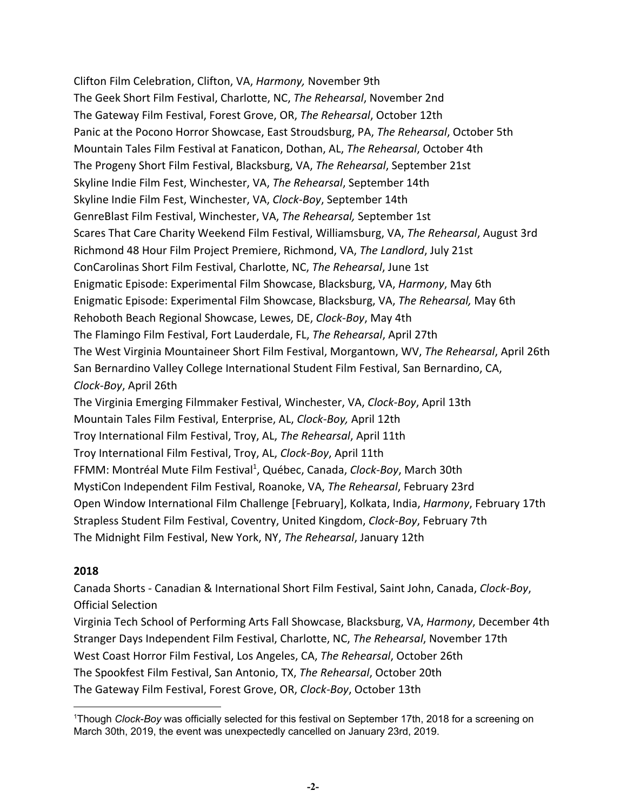Clifton Film Celebration, Clifton, VA, *Harmony,* November 9th The Geek Short Film Festival, Charlotte, NC, *The Rehearsal*, November 2nd The Gateway Film Festival, Forest Grove, OR, *The Rehearsal*, October 12th Panic at the Pocono Horror Showcase, East Stroudsburg, PA, *The Rehearsal*, October 5th Mountain Tales Film Festival at Fanaticon, Dothan, AL, *The Rehearsal*, October 4th The Progeny Short Film Festival, Blacksburg, VA, *The Rehearsal*, September 21st Skyline Indie Film Fest, Winchester, VA, *The Rehearsal*, September 14th Skyline Indie Film Fest, Winchester, VA, *Clock-Boy*, September 14th GenreBlast Film Festival, Winchester, VA, *The Rehearsal,* September 1st Scares That Care Charity Weekend Film Festival, Williamsburg, VA, *The Rehearsal*, August 3rd Richmond 48 Hour Film Project Premiere, Richmond, VA, *The Landlord*, July 21st ConCarolinas Short Film Festival, Charlotte, NC, *The Rehearsal*, June 1st Enigmatic Episode: Experimental Film Showcase, Blacksburg, VA, *Harmony*, May 6th Enigmatic Episode: Experimental Film Showcase, Blacksburg, VA, *The Rehearsal,* May 6th Rehoboth Beach Regional Showcase, Lewes, DE, *Clock-Boy*, May 4th The Flamingo Film Festival, Fort Lauderdale, FL, *The Rehearsal*, April 27th The West Virginia Mountaineer Short Film Festival, Morgantown, WV, *The Rehearsal*, April 26th San Bernardino Valley College International Student Film Festival, San Bernardino, CA, *Clock-Boy*, April 26th The Virginia Emerging Filmmaker Festival, Winchester, VA, *Clock-Boy*, April 13th Mountain Tales Film Festival, Enterprise, AL, *Clock-Boy,* April 12th Troy International Film Festival, Troy, AL, *The Rehearsal*, April 11th Troy International Film Festival, Troy, AL, *Clock-Boy*, April 11th FFMM: Montréal Mute Film Festival<sup>1</sup>, Québec, Canada, *Clock-Boy*, March 30th MystiCon Independent Film Festival, Roanoke, VA, *The Rehearsal*, February 23rd Open Window International Film Challenge [February], Kolkata, India, *Harmony*, February 17th Strapless Student Film Festival, Coventry, United Kingdom, *Clock-Boy*, February 7th The Midnight Film Festival, New York, NY, *The Rehearsal*, January 12th

### **2018**

Canada Shorts - Canadian & International Short Film Festival, Saint John, Canada, *Clock-Boy*, Official Selection

Virginia Tech School of Performing Arts Fall Showcase, Blacksburg, VA, *Harmony*, December 4th Stranger Days Independent Film Festival, Charlotte, NC, *The Rehearsal*, November 17th West Coast Horror Film Festival, Los Angeles, CA, *The Rehearsal*, October 26th The Spookfest Film Festival, San Antonio, TX, *The Rehearsal*, October 20th The Gateway Film Festival, Forest Grove, OR, *Clock-Boy*, October 13th

<sup>1</sup>Though *Clock-Boy* was officially selected for this festival on September 17th, 2018 for a screening on March 30th, 2019, the event was unexpectedly cancelled on January 23rd, 2019.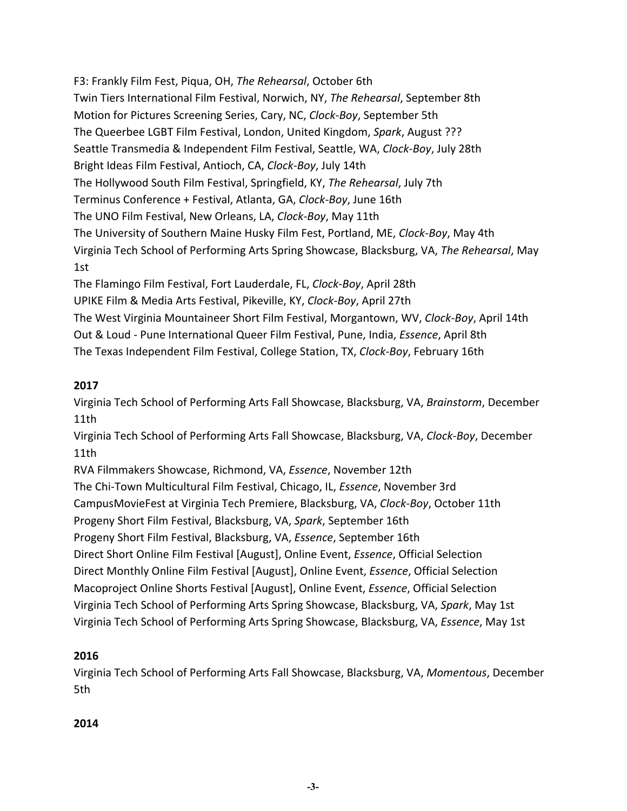F3: Frankly Film Fest, Piqua, OH, *The Rehearsal*, October 6th Twin Tiers International Film Festival, Norwich, NY, *The Rehearsal*, September 8th Motion for Pictures Screening Series, Cary, NC, *Clock-Boy*, September 5th The Queerbee LGBT Film Festival, London, United Kingdom, *Spark*, August ??? Seattle Transmedia & Independent Film Festival, Seattle, WA, *Clock-Boy*, July 28th Bright Ideas Film Festival, Antioch, CA, *Clock-Boy*, July 14th The Hollywood South Film Festival, Springfield, KY, *The Rehearsal*, July 7th Terminus Conference + Festival, Atlanta, GA, *Clock-Boy*, June 16th The UNO Film Festival, New Orleans, LA, *Clock-Boy*, May 11th The University of Southern Maine Husky Film Fest, Portland, ME, *Clock-Boy*, May 4th Virginia Tech School of Performing Arts Spring Showcase, Blacksburg, VA, *The Rehearsal*, May 1st The Flamingo Film Festival, Fort Lauderdale, FL, *Clock-Boy*, April 28th UPIKE Film & Media Arts Festival, Pikeville, KY, *Clock-Boy*, April 27th

The West Virginia Mountaineer Short Film Festival, Morgantown, WV, *Clock-Boy*, April 14th Out & Loud - Pune International Queer Film Festival, Pune, India, *Essence*, April 8th The Texas Independent Film Festival, College Station, TX, *Clock-Boy*, February 16th

# **2017**

Virginia Tech School of Performing Arts Fall Showcase, Blacksburg, VA, *Brainstorm*, December 11th

Virginia Tech School of Performing Arts Fall Showcase, Blacksburg, VA, *Clock-Boy*, December 11th

RVA Filmmakers Showcase, Richmond, VA, *Essence*, November 12th

The Chi-Town Multicultural Film Festival, Chicago, IL, *Essence*, November 3rd

CampusMovieFest at Virginia Tech Premiere, Blacksburg, VA, *Clock-Boy*, October 11th

Progeny Short Film Festival, Blacksburg, VA, *Spark*, September 16th

Progeny Short Film Festival, Blacksburg, VA, *Essence*, September 16th

Direct Short Online Film Festival [August], Online Event, *Essence*, Official Selection Direct Monthly Online Film Festival [August], Online Event, *Essence*, Official Selection Macoproject Online Shorts Festival [August], Online Event, *Essence*, Official Selection Virginia Tech School of Performing Arts Spring Showcase, Blacksburg, VA, *Spark*, May 1st Virginia Tech School of Performing Arts Spring Showcase, Blacksburg, VA, *Essence*, May 1st

# **2016**

Virginia Tech School of Performing Arts Fall Showcase, Blacksburg, VA, *Momentous*, December 5th

# **2014**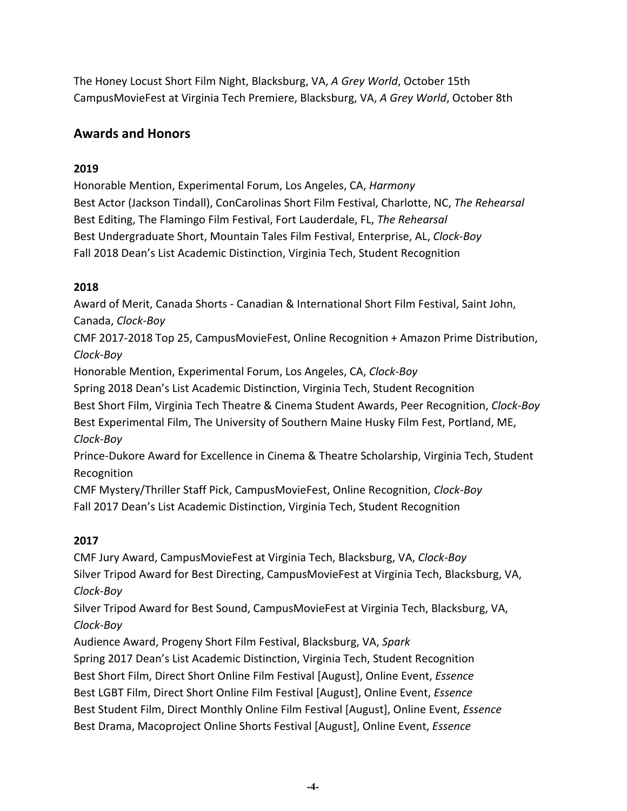The Honey Locust Short Film Night, Blacksburg, VA, *A Grey World*, October 15th CampusMovieFest at Virginia Tech Premiere, Blacksburg, VA, *A Grey World*, October 8th

# **Awards and Honors**

# **2019**

Honorable Mention, Experimental Forum, Los Angeles, CA, *Harmony* Best Actor (Jackson Tindall), ConCarolinas Short Film Festival, Charlotte, NC, *The Rehearsal* Best Editing, The Flamingo Film Festival, Fort Lauderdale, FL, *The Rehearsal* Best Undergraduate Short, Mountain Tales Film Festival, Enterprise, AL, *Clock-Boy* Fall 2018 Dean's List Academic Distinction, Virginia Tech, Student Recognition

## **2018**

Award of Merit, Canada Shorts - Canadian & International Short Film Festival, Saint John, Canada, *Clock-Boy* CMF 2017-2018 Top 25, CampusMovieFest, Online Recognition + Amazon Prime Distribution, *Clock-Boy* Honorable Mention, Experimental Forum, Los Angeles, CA, *Clock-Boy* Spring 2018 Dean's List Academic Distinction, Virginia Tech, Student Recognition Best Short Film, Virginia Tech Theatre & Cinema Student Awards, Peer Recognition, *Clock-Boy* Best Experimental Film, The University of Southern Maine Husky Film Fest, Portland, ME, *Clock-Boy* Prince-Dukore Award for Excellence in Cinema & Theatre Scholarship, Virginia Tech, Student Recognition CMF Mystery/Thriller Staff Pick, CampusMovieFest, Online Recognition, *Clock-Boy* Fall 2017 Dean's List Academic Distinction, Virginia Tech, Student Recognition

# **2017**

CMF Jury Award, CampusMovieFest at Virginia Tech, Blacksburg, VA, *Clock-Boy* Silver Tripod Award for Best Directing, CampusMovieFest at Virginia Tech, Blacksburg, VA, *Clock-Boy*

Silver Tripod Award for Best Sound, CampusMovieFest at Virginia Tech, Blacksburg, VA, *Clock-Boy*

Audience Award, Progeny Short Film Festival, Blacksburg, VA, *Spark* Spring 2017 Dean's List Academic Distinction, Virginia Tech, Student Recognition Best Short Film, Direct Short Online Film Festival [August], Online Event, *Essence* Best LGBT Film, Direct Short Online Film Festival [August], Online Event, *Essence* Best Student Film, Direct Monthly Online Film Festival [August], Online Event, *Essence* Best Drama, Macoproject Online Shorts Festival [August], Online Event, *Essence*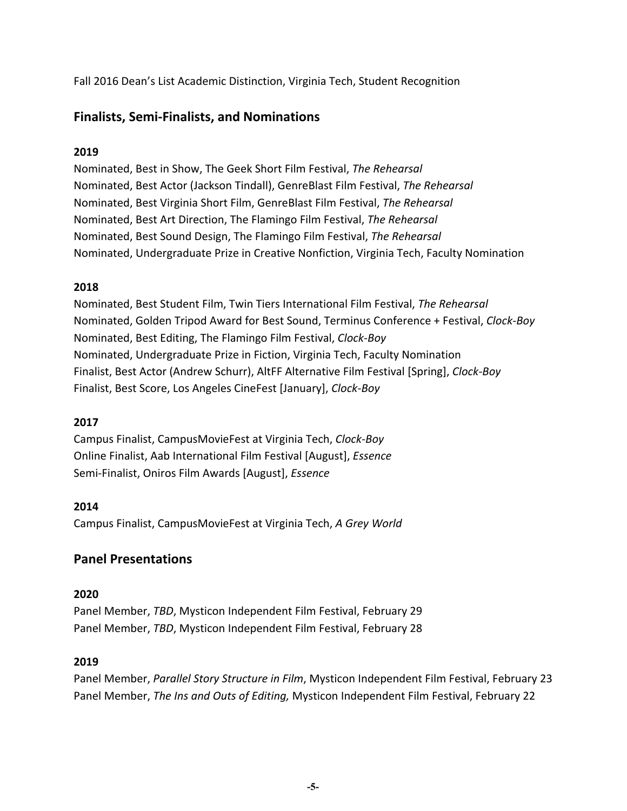Fall 2016 Dean's List Academic Distinction, Virginia Tech, Student Recognition

# **Finalists, Semi-Finalists, and Nominations**

# **2019**

Nominated, Best in Show, The Geek Short Film Festival, *The Rehearsal* Nominated, Best Actor (Jackson Tindall), GenreBlast Film Festival, *The Rehearsal* Nominated, Best Virginia Short Film, GenreBlast Film Festival, *The Rehearsal* Nominated, Best Art Direction, The Flamingo Film Festival, *The Rehearsal* Nominated, Best Sound Design, The Flamingo Film Festival, *The Rehearsal* Nominated, Undergraduate Prize in Creative Nonfiction, Virginia Tech, Faculty Nomination

# **2018**

Nominated, Best Student Film, Twin Tiers International Film Festival, *The Rehearsal* Nominated, Golden Tripod Award for Best Sound, Terminus Conference + Festival, *Clock-Boy* Nominated, Best Editing, The Flamingo Film Festival, *Clock-Boy* Nominated, Undergraduate Prize in Fiction, Virginia Tech, Faculty Nomination Finalist, Best Actor (Andrew Schurr), AltFF Alternative Film Festival [Spring], *Clock-Boy* Finalist, Best Score, Los Angeles CineFest [January], *Clock-Boy*

# **2017**

Campus Finalist, CampusMovieFest at Virginia Tech, *Clock-Boy* Online Finalist, Aab International Film Festival [August], *Essence* Semi-Finalist, Oniros Film Awards [August], *Essence*

# **2014**

Campus Finalist, CampusMovieFest at Virginia Tech, *A Grey World*

# **Panel Presentations**

### **2020**

Panel Member, *TBD*, Mysticon Independent Film Festival, February 29 Panel Member, *TBD*, Mysticon Independent Film Festival, February 28

# **2019**

Panel Member, *Parallel Story Structure in Film*, Mysticon Independent Film Festival, February 23 Panel Member, *The Ins and Outs of Editing,* Mysticon Independent Film Festival, February 22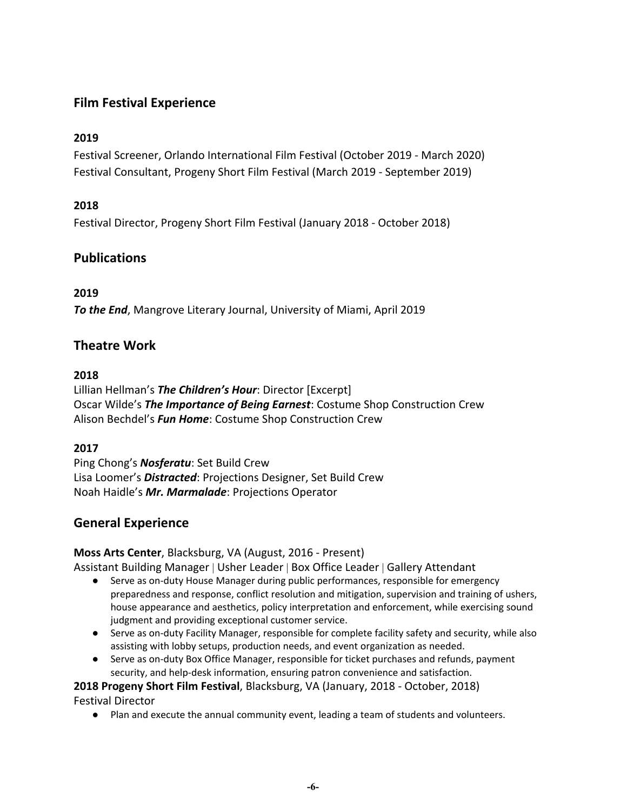# **Film Festival Experience**

## **2019**

Festival Screener, Orlando International Film Festival (October 2019 - March 2020) Festival Consultant, Progeny Short Film Festival (March 2019 - September 2019)

## **2018**

Festival Director, Progeny Short Film Festival (January 2018 - October 2018)

# **Publications**

### **2019**

*To the End*, Mangrove Literary Journal, University of Miami, April 2019

# **Theatre Work**

#### **2018**

Lillian Hellman's *The Children's Hour*: Director [Excerpt] Oscar Wilde's *The Importance of Being Earnest*: Costume Shop Construction Crew Alison Bechdel's *Fun Home*: Costume Shop Construction Crew

### **2017**

Ping Chong's *Nosferatu*: Set Build Crew Lisa Loomer's *Distracted*: Projections Designer, Set Build Crew Noah Haidle's *Mr. Marmalade*: Projections Operator

# **General Experience**

### **Moss Arts Center**, Blacksburg, VA (August, 2016 - Present)

Assistant Building Manager | Usher Leader | Box Office Leader | Gallery Attendant

- Serve as on-duty House Manager during public performances, responsible for emergency preparedness and response, conflict resolution and mitigation, supervision and training of ushers, house appearance and aesthetics, policy interpretation and enforcement, while exercising sound judgment and providing exceptional customer service.
- Serve as on-duty Facility Manager, responsible for complete facility safety and security, while also assisting with lobby setups, production needs, and event organization as needed.
- Serve as on-duty Box Office Manager, responsible for ticket purchases and refunds, payment security, and help-desk information, ensuring patron convenience and satisfaction.

# **2018 Progeny Short Film Festival**, Blacksburg, VA (January, 2018 - October, 2018)

Festival Director

● Plan and execute the annual community event, leading a team of students and volunteers.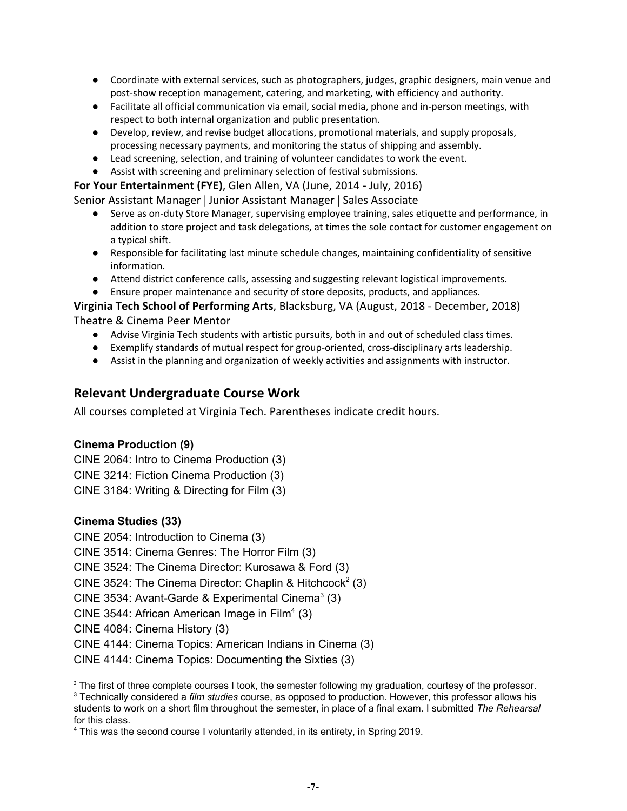- Coordinate with external services, such as photographers, judges, graphic designers, main venue and post-show reception management, catering, and marketing, with efficiency and authority.
- Facilitate all official communication via email, social media, phone and in-person meetings, with respect to both internal organization and public presentation.
- Develop, review, and revise budget allocations, promotional materials, and supply proposals, processing necessary payments, and monitoring the status of shipping and assembly.
- Lead screening, selection, and training of volunteer candidates to work the event.
- Assist with screening and preliminary selection of festival submissions.

#### **For Your Entertainment (FYE)**, Glen Allen, VA (June, 2014 - July, 2016)

Senior Assistant Manager | Junior Assistant Manager | Sales Associate

- Serve as on-duty Store Manager, supervising employee training, sales etiquette and performance, in addition to store project and task delegations, at times the sole contact for customer engagement on a typical shift.
- Responsible for facilitating last minute schedule changes, maintaining confidentiality of sensitive information.
- Attend district conference calls, assessing and suggesting relevant logistical improvements.
- Ensure proper maintenance and security of store deposits, products, and appliances.

**Virginia Tech School of Performing Arts**, Blacksburg, VA (August, 2018 - December, 2018) Theatre & Cinema Peer Mentor

- Advise Virginia Tech students with artistic pursuits, both in and out of scheduled class times.
- Exemplify standards of mutual respect for group-oriented, cross-disciplinary arts leadership.
- Assist in the planning and organization of weekly activities and assignments with instructor.

## **Relevant Undergraduate Course Work**

All courses completed at Virginia Tech. Parentheses indicate credit hours.

#### **Cinema Production (9)**

CINE 2064: Intro to Cinema Production (3) CINE 3214: Fiction Cinema Production (3) CINE 3184: Writing & Directing for Film (3)

#### **Cinema Studies (33)**

CINE 2054: Introduction to Cinema (3) CINE 3514: Cinema Genres: The Horror Film (3) CINE 3524: The Cinema Director: Kurosawa & Ford (3) CINE 3524: The Cinema Director: Chaplin & Hitchcock<sup>2</sup> (3) CINE 3534: Avant-Garde & Experimental Cinema $3$  (3) CINE 3544: African American Image in Film<sup>4</sup> (3) CINE 4084: Cinema History (3) CINE 4144: Cinema Topics: American Indians in Cinema (3) CINE 4144: Cinema Topics: Documenting the Sixties (3)

<sup>&</sup>lt;sup>2</sup> The first of three complete courses I took, the semester following my graduation, courtesy of the professor.

<sup>3</sup> Technically considered a *film studies* course, as opposed to production. However, this professor allows his students to work on a short film throughout the semester, in place of a final exam. I submitted *The Rehearsal* for this class.

<sup>4</sup> This was the second course I voluntarily attended, in its entirety, in Spring 2019.